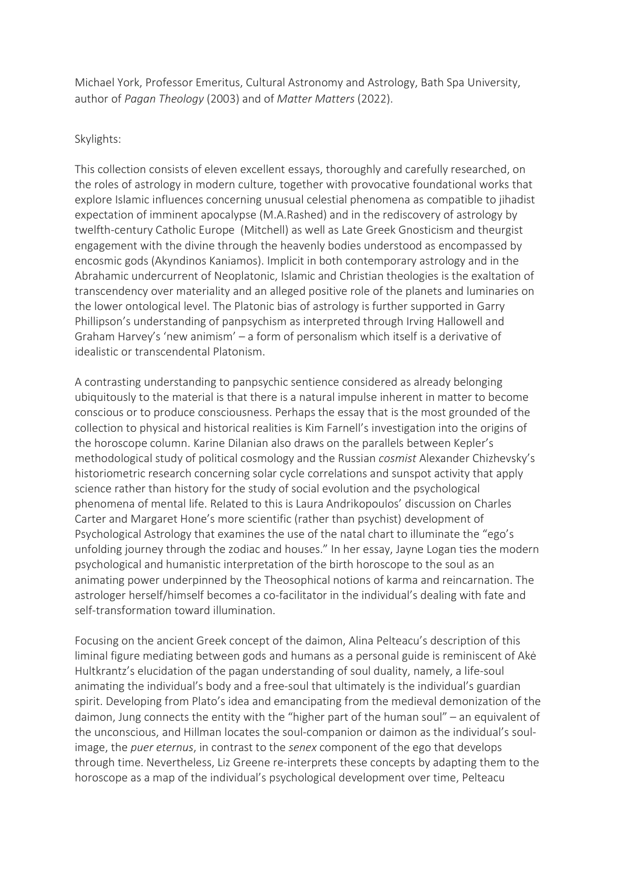Michael York, Professor Emeritus, Cultural Astronomy and Astrology, Bath Spa University, author of Pagan Theology (2003) and of Matter Matters (2022).

## Skylights:

This collection consists of eleven excellent essays, thoroughly and carefully researched, on the roles of astrology in modern culture, together with provocative foundational works that explore Islamic influences concerning unusual celestial phenomena as compatible to jihadist expectation of imminent apocalypse (M.A.Rashed) and in the rediscovery of astrology by twelfth-century Catholic Europe (Mitchell) as well as Late Greek Gnosticism and theurgist engagement with the divine through the heavenly bodies understood as encompassed by encosmic gods (Akyndinos Kaniamos). Implicit in both contemporary astrology and in the Abrahamic undercurrent of Neoplatonic, Islamic and Christian theologies is the exaltation of transcendency over materiality and an alleged positive role of the planets and luminaries on the lower ontological level. The Platonic bias of astrology is further supported in Garry Phillipson's understanding of panpsychism as interpreted through Irving Hallowell and Graham Harvey's 'new animism' – a form of personalism which itself is a derivative of idealistic or transcendental Platonism.

A contrasting understanding to panpsychic sentience considered as already belonging ubiquitously to the material is that there is a natural impulse inherent in matter to become conscious or to produce consciousness. Perhaps the essay that is the most grounded of the collection to physical and historical realities is Kim Farnell's investigation into the origins of the horoscope column. Karine Dilanian also draws on the parallels between Kepler's methodological study of political cosmology and the Russian cosmist Alexander Chizhevsky's historiometric research concerning solar cycle correlations and sunspot activity that apply science rather than history for the study of social evolution and the psychological phenomena of mental life. Related to this is Laura Andrikopoulos' discussion on Charles Carter and Margaret Hone's more scientific (rather than psychist) development of Psychological Astrology that examines the use of the natal chart to illuminate the "ego's unfolding journey through the zodiac and houses." In her essay, Jayne Logan ties the modern psychological and humanistic interpretation of the birth horoscope to the soul as an animating power underpinned by the Theosophical notions of karma and reincarnation. The astrologer herself/himself becomes a co-facilitator in the individual's dealing with fate and self-transformation toward illumination.

Focusing on the ancient Greek concept of the daimon, Alina Pelteacu's description of this liminal figure mediating between gods and humans as a personal guide is reminiscent of Akė Hultkrantz's elucidation of the pagan understanding of soul duality, namely, a life-soul animating the individual's body and a free-soul that ultimately is the individual's guardian spirit. Developing from Plato's idea and emancipating from the medieval demonization of the daimon, Jung connects the entity with the "higher part of the human soul" – an equivalent of the unconscious, and Hillman locates the soul-companion or daimon as the individual's soulimage, the puer eternus, in contrast to the senex component of the ego that develops through time. Nevertheless, Liz Greene re-interprets these concepts by adapting them to the horoscope as a map of the individual's psychological development over time, Pelteacu